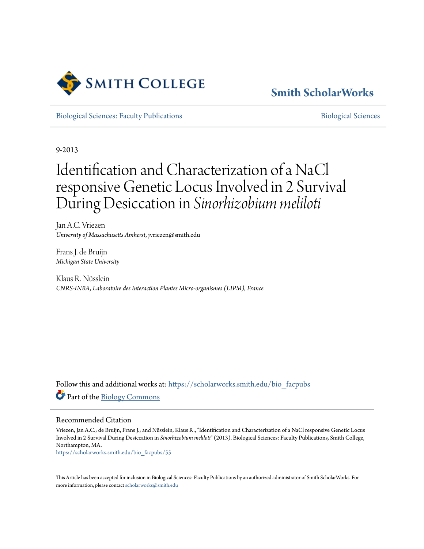

# **[Smith ScholarWorks](https://scholarworks.smith.edu/?utm_source=scholarworks.smith.edu%2Fbio_facpubs%2F55&utm_medium=PDF&utm_campaign=PDFCoverPages)**

[Biological Sciences: Faculty Publications](https://scholarworks.smith.edu/bio_facpubs?utm_source=scholarworks.smith.edu%2Fbio_facpubs%2F55&utm_medium=PDF&utm_campaign=PDFCoverPages) and [Biological Sciences](https://scholarworks.smith.edu/bio?utm_source=scholarworks.smith.edu%2Fbio_facpubs%2F55&utm_medium=PDF&utm_campaign=PDFCoverPages) Biological Sciences

9-2013

# Identification and Characterization of a NaCl responsive Genetic Locus Involved in 2 Survival During Desiccation in *Sinorhizobium meliloti*

Jan A.C. Vriezen *University of Massachusetts Amherst*, jvriezen@smith.edu

Frans J. de Bruijn *Michigan State University*

Klaus R. Nüsslein *CNRS-INRA, Laboratoire des Interaction Plantes Micro-organismes (LIPM), France*

Follow this and additional works at: [https://scholarworks.smith.edu/bio\\_facpubs](https://scholarworks.smith.edu/bio_facpubs?utm_source=scholarworks.smith.edu%2Fbio_facpubs%2F55&utm_medium=PDF&utm_campaign=PDFCoverPages) Part of the [Biology Commons](http://network.bepress.com/hgg/discipline/41?utm_source=scholarworks.smith.edu%2Fbio_facpubs%2F55&utm_medium=PDF&utm_campaign=PDFCoverPages)

#### Recommended Citation

Vriezen, Jan A.C.; de Bruijn, Frans J.; and Nüsslein, Klaus R., "Identification and Characterization of a NaCl responsive Genetic Locus Involved in 2 Survival During Desiccation in *Sinorhizobium meliloti*" (2013). Biological Sciences: Faculty Publications, Smith College, Northampton, MA.

[https://scholarworks.smith.edu/bio\\_facpubs/55](https://scholarworks.smith.edu/bio_facpubs/55?utm_source=scholarworks.smith.edu%2Fbio_facpubs%2F55&utm_medium=PDF&utm_campaign=PDFCoverPages)

This Article has been accepted for inclusion in Biological Sciences: Faculty Publications by an authorized administrator of Smith ScholarWorks. For more information, please contact [scholarworks@smith.edu](mailto:scholarworks@smith.edu)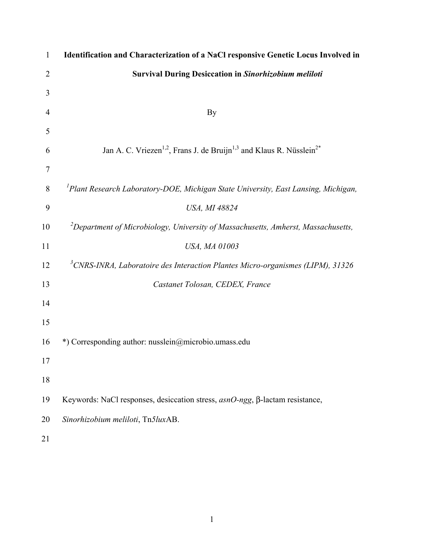| $\mathbf{1}$   | Identification and Characterization of a NaCl responsive Genetic Locus Involved in                       |
|----------------|----------------------------------------------------------------------------------------------------------|
| $\overline{2}$ | <b>Survival During Desiccation in Sinorhizobium meliloti</b>                                             |
| 3              |                                                                                                          |
| 4              | By                                                                                                       |
| 5              |                                                                                                          |
| 6              | Jan A. C. Vriezen <sup>1,2</sup> , Frans J. de Bruijn <sup>1,3</sup> and Klaus R. Nüsslein <sup>2*</sup> |
| $\tau$         |                                                                                                          |
| 8              | <sup>1</sup> Plant Research Laboratory-DOE, Michigan State University, East Lansing, Michigan,           |
| 9              | USA, MI 48824                                                                                            |
| 10             | ${}^{2}$ Department of Microbiology, University of Massachusetts, Amherst, Massachusetts,                |
| 11             | USA, MA 01003                                                                                            |
| 12             | $3$ CNRS-INRA, Laboratoire des Interaction Plantes Micro-organismes (LIPM), 31326                        |
| 13             | Castanet Tolosan, CEDEX, France                                                                          |
| 14             |                                                                                                          |
| 15             |                                                                                                          |
| 16             | *) Corresponding author: nusslein@microbio.umass.edu                                                     |
| 17             |                                                                                                          |
| 18             |                                                                                                          |
| 19             | Keywords: NaCl responses, desiccation stress, asnO-ngg, β-lactam resistance,                             |
| 20             | Sinorhizobium meliloti, Tn5luxAB.                                                                        |
| 21             |                                                                                                          |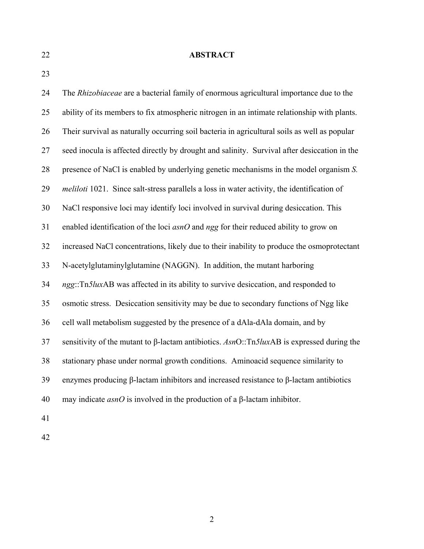#### 22 **ABSTRACT**

23

24 The *Rhizobiaceae* are a bacterial family of enormous agricultural importance due to the 25 ability of its members to fix atmospheric nitrogen in an intimate relationship with plants. 26 Their survival as naturally occurring soil bacteria in agricultural soils as well as popular 27 seed inocula is affected directly by drought and salinity. Survival after desiccation in the 28 presence of NaCl is enabled by underlying genetic mechanisms in the model organism *S.*  29 *meliloti* 1021. Since salt-stress parallels a loss in water activity, the identification of 30 NaCl responsive loci may identify loci involved in survival during desiccation. This 31 enabled identification of the loci *asnO* and *ngg* for their reduced ability to grow on 32 increased NaCl concentrations, likely due to their inability to produce the osmoprotectant 33 N-acetylglutaminylglutamine (NAGGN). In addition, the mutant harboring 34 *ngg*::Tn*5lux*AB was affected in its ability to survive desiccation, and responded to 35 osmotic stress. Desiccation sensitivity may be due to secondary functions of Ngg like 36 cell wall metabolism suggested by the presence of a dAla-dAla domain, and by 37 sensitivity of the mutant to ȕ-lactam antibiotics. *Asn*O::Tn*5lux*AB is expressed during the 38 stationary phase under normal growth conditions. Aminoacid sequence similarity to 39 enzymes producing  $\beta$ -lactam inhibitors and increased resistance to  $\beta$ -lactam antibiotics 40 may indicate  $asnO$  is involved in the production of a  $\beta$ -lactam inhibitor. 41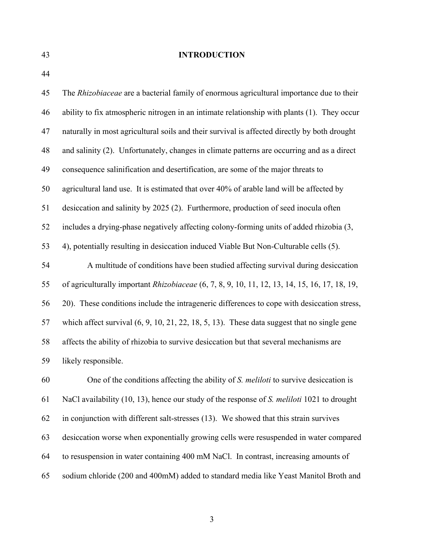#### 43 **INTRODUCTION**

44

45 The *Rhizobiaceae* are a bacterial family of enormous agricultural importance due to their 46 ability to fix atmospheric nitrogen in an intimate relationship with plants (1). They occur 47 naturally in most agricultural soils and their survival is affected directly by both drought 48 and salinity (2). Unfortunately, changes in climate patterns are occurring and as a direct 49 consequence salinification and desertification, are some of the major threats to 50 agricultural land use. It is estimated that over 40% of arable land will be affected by 51 desiccation and salinity by 2025 (2). Furthermore, production of seed inocula often 52 includes a drying-phase negatively affecting colony-forming units of added rhizobia (3, 53 4), potentially resulting in desiccation induced Viable But Non-Culturable cells (5). 54 A multitude of conditions have been studied affecting survival during desiccation 55 of agriculturally important *Rhizobiaceae* (6, 7, 8, 9, 10, 11, 12, 13, 14, 15, 16, 17, 18, 19, 56 20). These conditions include the intrageneric differences to cope with desiccation stress, 57 which affect survival (6, 9, 10, 21, 22, 18, 5, 13). These data suggest that no single gene 58 affects the ability of rhizobia to survive desiccation but that several mechanisms are 59 likely responsible. 60 One of the conditions affecting the ability of *S. meliloti* to survive desiccation is

61 NaCl availability (10, 13), hence our study of the response of *S. meliloti* 1021 to drought 62 in conjunction with different salt-stresses (13). We showed that this strain survives 63 desiccation worse when exponentially growing cells were resuspended in water compared 64 to resuspension in water containing 400 mM NaCl. In contrast, increasing amounts of 65 sodium chloride (200 and 400mM) added to standard media like Yeast Manitol Broth and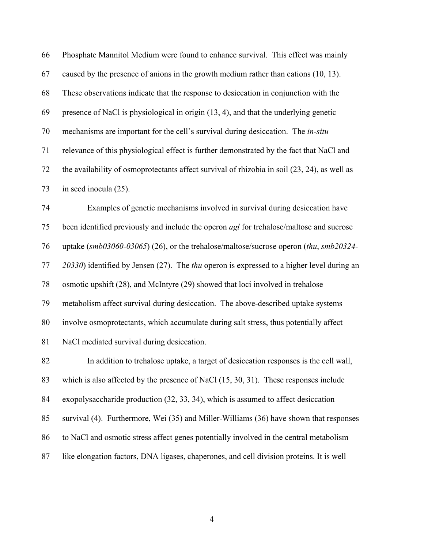66 Phosphate Mannitol Medium were found to enhance survival. This effect was mainly 67 caused by the presence of anions in the growth medium rather than cations (10, 13). 68 These observations indicate that the response to desiccation in conjunction with the 69 presence of NaCl is physiological in origin (13, 4), and that the underlying genetic 70 mechanisms are important for the cell's survival during desiccation. The *in-situ* 71 relevance of this physiological effect is further demonstrated by the fact that NaCl and 72 the availability of osmoprotectants affect survival of rhizobia in soil (23, 24), as well as 73 in seed inocula (25).

74 Examples of genetic mechanisms involved in survival during desiccation have 75 been identified previously and include the operon *agl* for trehalose/maltose and sucrose 76 uptake (*smb03060-03065*) (26), or the trehalose/maltose/sucrose operon (*thu*, *smb20324-* 77 *20330*) identified by Jensen (27). The *thu* operon is expressed to a higher level during an 78 osmotic upshift (28), and McIntyre (29) showed that loci involved in trehalose 79 metabolism affect survival during desiccation. The above-described uptake systems 80 involve osmoprotectants, which accumulate during salt stress, thus potentially affect 81 NaCl mediated survival during desiccation.

82 In addition to trehalose uptake, a target of desiccation responses is the cell wall, 83 which is also affected by the presence of NaCl (15, 30, 31). These responses include 84 exopolysaccharide production (32, 33, 34), which is assumed to affect desiccation 85 survival (4). Furthermore, Wei (35) and Miller-Williams (36) have shown that responses 86 to NaCl and osmotic stress affect genes potentially involved in the central metabolism 87 like elongation factors, DNA ligases, chaperones, and cell division proteins. It is well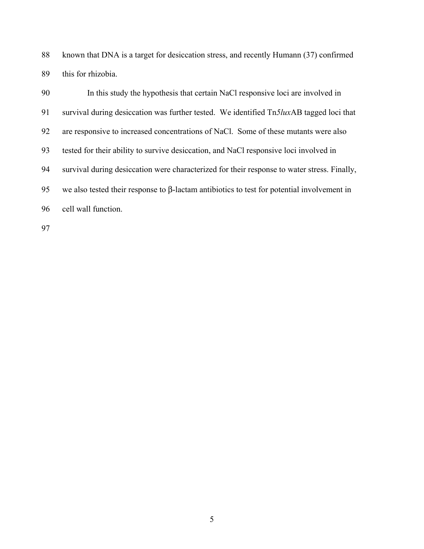88 known that DNA is a target for desiccation stress, and recently Humann (37) confirmed 89 this for rhizobia.

90 In this study the hypothesis that certain NaCl responsive loci are involved in 91 survival during desiccation was further tested. We identified Tn*5lux*AB tagged loci that 92 are responsive to increased concentrations of NaCl. Some of these mutants were also 93 tested for their ability to survive desiccation, and NaCl responsive loci involved in 94 survival during desiccation were characterized for their response to water stress. Finally, 95 we also tested their response to β-lactam antibiotics to test for potential involvement in 96 cell wall function.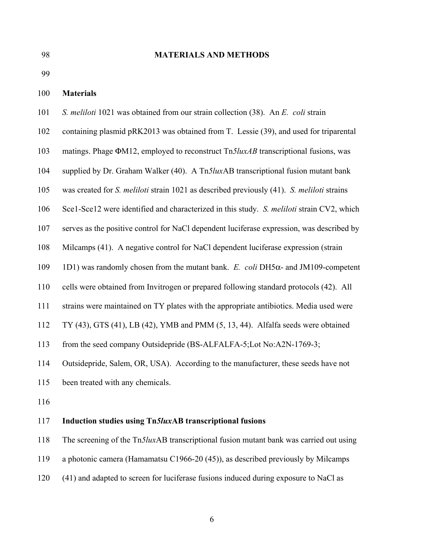#### 98 **MATERIALS AND METHODS**

99

#### 100 **Materials**

- 101 *S. meliloti* 1021 was obtained from our strain collection (38). An *E. coli* strain
- 102 containing plasmid pRK2013 was obtained from T. Lessie (39), and used for triparental
- 103 matings. Phage ΦM12, employed to reconstruct Tn*5luxAB* transcriptional fusions, was
- 104 supplied by Dr. Graham Walker (40). A Tn*5lux*AB transcriptional fusion mutant bank
- 105 was created for *S. meliloti* strain 1021 as described previously (41). *S. meliloti* strains
- 106 Sce1-Sce12 were identified and characterized in this study. *S. meliloti* strain CV2, which
- 107 serves as the positive control for NaCl dependent luciferase expression, was described by
- 108 Milcamps (41). A negative control for NaCl dependent luciferase expression (strain
- 109 1D1) was randomly chosen from the mutant bank. *E. coli* DH5α- and JM109-competent
- 110 cells were obtained from Invitrogen or prepared following standard protocols (42). All
- 111 strains were maintained on TY plates with the appropriate antibiotics. Media used were
- 112 TY (43), GTS (41), LB (42), YMB and PMM (5, 13, 44). Alfalfa seeds were obtained
- 113 from the seed company Outsidepride (BS-ALFALFA-5;Lot No:A2N-1769-3;
- 114 Outsidepride, Salem, OR, USA). According to the manufacturer, these seeds have not
- 115 been treated with any chemicals.
- 116

#### 117 **Induction studies using Tn***5lux***AB transcriptional fusions**

- 118 The screening of the Tn*5lux*AB transcriptional fusion mutant bank was carried out using
- 119 a photonic camera (Hamamatsu C1966-20 (45)), as described previously by Milcamps
- 120 (41) and adapted to screen for luciferase fusions induced during exposure to NaCl as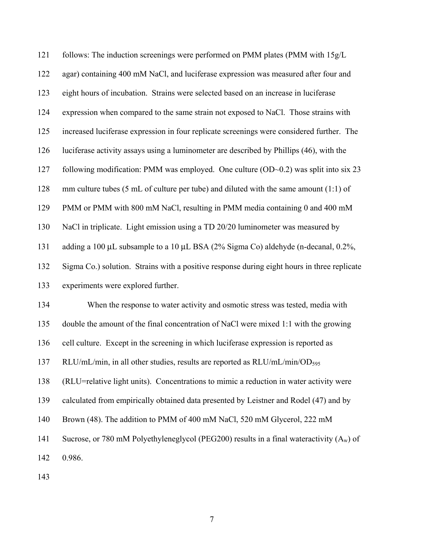121 follows: The induction screenings were performed on PMM plates (PMM with 15g/L 122 agar) containing 400 mM NaCl, and luciferase expression was measured after four and 123 eight hours of incubation. Strains were selected based on an increase in luciferase 124 expression when compared to the same strain not exposed to NaCl. Those strains with 125 increased luciferase expression in four replicate screenings were considered further. The 126 luciferase activity assays using a luminometer are described by Phillips (46), with the 127 following modification: PMM was employed. One culture (OD~0.2) was split into six 23 128 mm culture tubes (5 mL of culture per tube) and diluted with the same amount (1:1) of 129 PMM or PMM with 800 mM NaCl, resulting in PMM media containing 0 and 400 mM 130 NaCl in triplicate. Light emission using a TD 20/20 luminometer was measured by 131 adding a 100 L subsample to a 10 L BSA (2% Sigma Co) aldehyde (n-decanal, 0.2%, 132 Sigma Co.) solution. Strains with a positive response during eight hours in three replicate 133 experiments were explored further. 134 When the response to water activity and osmotic stress was tested, media with 135 double the amount of the final concentration of NaCl were mixed 1:1 with the growing 136 cell culture. Except in the screening in which luciferase expression is reported as 137 RLU/mL/min, in all other studies, results are reported as RLU/mL/min/OD<sub>595</sub> 138 (RLU=relative light units). Concentrations to mimic a reduction in water activity were 139 calculated from empirically obtained data presented by Leistner and Rodel (47) and by 140 Brown (48). The addition to PMM of 400 mM NaCl, 520 mM Glycerol, 222 mM 141 Sucrose, or 780 mM Polyethyleneglycol (PEG200) results in a final wateractivity  $(A_w)$  of 142 0.986.

143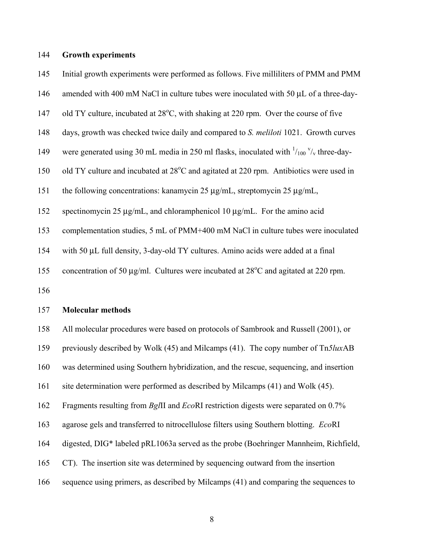#### 144 **Growth experiments**

145 Initial growth experiments were performed as follows. Five milliliters of PMM and PMM

- 146 amended with 400 mM NaCl in culture tubes were inoculated with 50 L of a three-day-
- 147 old TY culture, incubated at  $28^{\circ}$ C, with shaking at 220 rpm. Over the course of five
- 148 days, growth was checked twice daily and compared to *S. meliloti* 1021. Growth curves
- 149 were generated using 30 mL media in 250 ml flasks, inoculated with  $\frac{1}{100}$   $\frac{v}{x}$  three-day-
- 150 old TY culture and incubated at  $28^{\circ}$ C and agitated at 220 rpm. Antibiotics were used in
- 151 the following concentrations: kanamycin 25 g/mL, streptomycin 25 g/mL,
- 152 spectinomycin 25 g/mL, and chloramphenicol 10 g/mL. For the amino acid
- 153 complementation studies, 5 mL of PMM+400 mM NaCl in culture tubes were inoculated
- 154 with 50 L full density, 3-day-old TY cultures. Amino acids were added at a final
- 155 concentration of 50 g/ml. Cultures were incubated at  $28^{\circ}$ C and agitated at 220 rpm.
- 156

#### 157 **Molecular methods**

158 All molecular procedures were based on protocols of Sambrook and Russell (2001), or 159 previously described by Wolk (45) and Milcamps (41). The copy number of Tn*5lux*AB 160 was determined using Southern hybridization, and the rescue, sequencing, and insertion 161 site determination were performed as described by Milcamps (41) and Wolk (45). 162 Fragments resulting from *Bgl*II and *Eco*RI restriction digests were separated on 0.7% 163 agarose gels and transferred to nitrocellulose filters using Southern blotting. *Eco*RI 164 digested, DIG\* labeled pRL1063a served as the probe (Boehringer Mannheim, Richfield, 165 CT).The insertion site was determined by sequencing outward from the insertion 166 sequence using primers, as described by Milcamps (41) and comparing the sequences to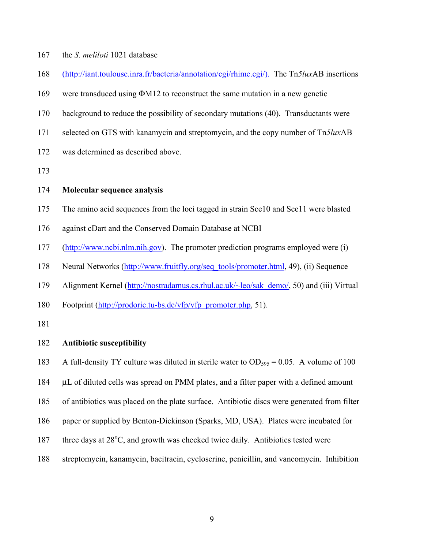- 167 the *S. meliloti* 1021 database
- 168 (http://iant.toulouse.inra.fr/bacteria/annotation/cgi/rhime.cgi/). The Tn*5lux*AB insertions
- 169 were transduced using ΦM12 to reconstruct the same mutation in a new genetic
- 170 background to reduce the possibility of secondary mutations (40). Transductants were
- 171 selected on GTS with kanamycin and streptomycin, and the copy number of Tn*5lux*AB
- 172 was determined as described above.
- 173

#### 174 **Molecular sequence analysis**

- 175 The amino acid sequences from the loci tagged in strain Sce10 and Sce11 were blasted
- 176 against cDart and the Conserved Domain Database at NCBI
- 177 (http://www.ncbi.nlm.nih.gov). The promoter prediction programs employed were (i)
- 178 Neural Networks (http://www.fruitfly.org/seq\_tools/promoter.html, 49), (ii) Sequence
- 179 Alignment Kernel (http://nostradamus.cs.rhul.ac.uk/~leo/sak\_demo/, 50) and (iii) Virtual
- 180 Footprint (http://prodoric.tu-bs.de/vfp/vfp\_promoter.php, 51).
- 181

#### 182 **Antibiotic susceptibility**

- 183 A full-density TY culture was diluted in sterile water to  $OD_{595} = 0.05$ . A volume of 100
- 184 L of diluted cells was spread on PMM plates, and a filter paper with a defined amount
- 185 of antibiotics was placed on the plate surface. Antibiotic discs were generated from filter
- 186 paper or supplied by Benton-Dickinson (Sparks, MD, USA). Plates were incubated for
- 187 three days at  $28^{\circ}$ C, and growth was checked twice daily. Antibiotics tested were
- 188 streptomycin, kanamycin, bacitracin, cycloserine, penicillin, and vancomycin. Inhibition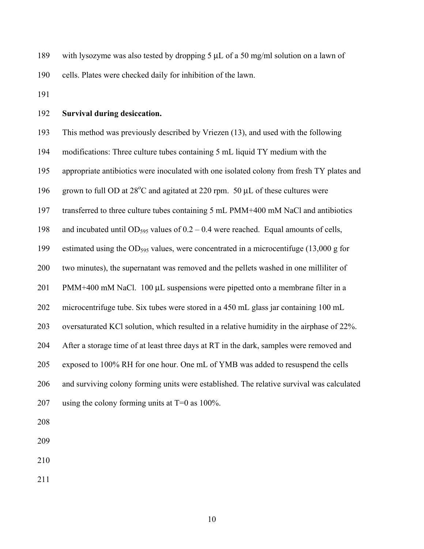189 with lysozyme was also tested by dropping 5 L of a 50 mg/ml solution on a lawn of 190 cells. Plates were checked daily for inhibition of the lawn.

191

#### 192 **Survival during desiccation.**

193 This method was previously described by Vriezen (13), and used with the following 194 modifications: Three culture tubes containing 5 mL liquid TY medium with the

195 appropriate antibiotics were inoculated with one isolated colony from fresh TY plates and

196 grown to full OD at  $28^{\circ}$ C and agitated at 220 rpm. 50 L of these cultures were

197 transferred to three culture tubes containing 5 mL PMM+400 mM NaCl and antibiotics

198 and incubated until OD<sub>595</sub> values of  $0.2 - 0.4$  were reached. Equal amounts of cells,

199 estimated using the OD595 values, were concentrated in a microcentifuge (13,000 g for

200 two minutes), the supernatant was removed and the pellets washed in one milliliter of

201 PMM+400 mM NaCl. 100 L suspensions were pipetted onto a membrane filter in a

202 microcentrifuge tube. Six tubes were stored in a 450 mL glass jar containing 100 mL

203 oversaturated KCl solution, which resulted in a relative humidity in the airphase of 22%.

204 After a storage time of at least three days at RT in the dark, samples were removed and

205 exposed to 100% RH for one hour. One mL of YMB was added to resuspend the cells

206 and surviving colony forming units were established. The relative survival was calculated

| 207 | using the colony forming units at $T=0$ as 100% |  |  |  |  |
|-----|-------------------------------------------------|--|--|--|--|
|-----|-------------------------------------------------|--|--|--|--|

- 208
- 209
- 210
- 211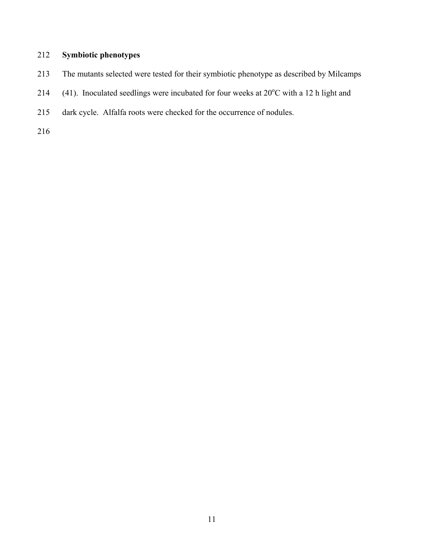## 212 **Symbiotic phenotypes**

- 213 The mutants selected were tested for their symbiotic phenotype as described by Milcamps
- 214 (41). Inoculated seedlings were incubated for four weeks at  $20^{\circ}$ C with a 12 h light and
- 215 dark cycle. Alfalfa roots were checked for the occurrence of nodules.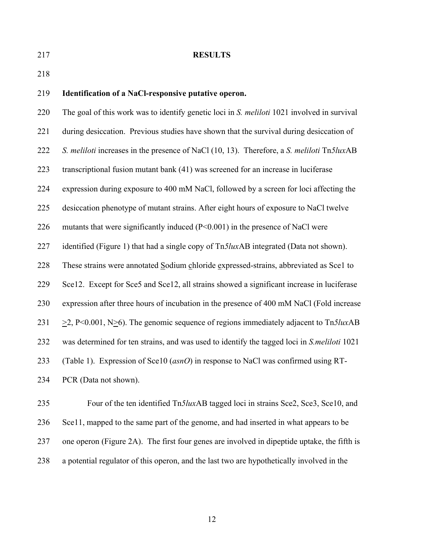#### 217 **RESULTS**

218

#### 219 **Identification of a NaCl-responsive putative operon.**

220 The goal of this work was to identify genetic loci in *S. meliloti* 1021 involved in survival 221 during desiccation. Previous studies have shown that the survival during desiccation of 222 *S. meliloti* increases in the presence of NaCl (10, 13). Therefore, a *S. meliloti* Tn*5lux*AB 223 transcriptional fusion mutant bank (41) was screened for an increase in luciferase 224 expression during exposure to 400 mM NaCl, followed by a screen for loci affecting the 225 desiccation phenotype of mutant strains. After eight hours of exposure to NaCl twelve 226 mutants that were significantly induced (P<0.001) in the presence of NaCl were 227 identified (Figure 1) that had a single copy of Tn*5lux*AB integrated (Data not shown). 228 These strains were annotated Sodium chloride expressed-strains, abbreviated as Sce1 to 229 Sce12. Except for Sce5 and Sce12, all strains showed a significant increase in luciferase 230 expression after three hours of incubation in the presence of 400 mM NaCl (Fold increase 231 >2, P<0.001, N>6). The genomic sequence of regions immediately adjacent to Tn*5lux*AB 232 was determined for ten strains, and was used to identify the tagged loci in *S.meliloti* 1021 233 (Table 1). Expression of Sce10 (*asnO*) in response to NaCl was confirmed using RT-234 PCR (Data not shown).

235 Four of the ten identified Tn*5lux*AB tagged loci in strains Sce2, Sce3, Sce10, and 236 Sce11, mapped to the same part of the genome, and had inserted in what appears to be 237 one operon (Figure 2A). The first four genes are involved in dipeptide uptake, the fifth is 238 a potential regulator of this operon, and the last two are hypothetically involved in the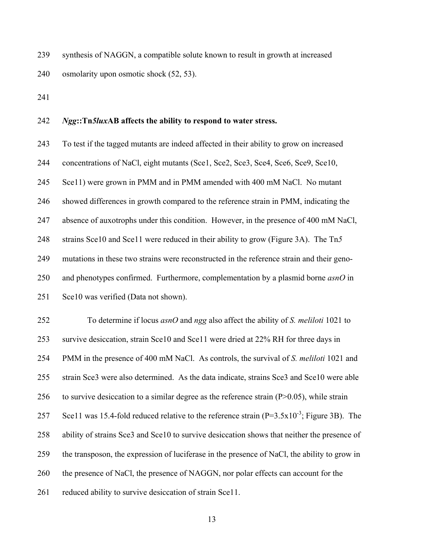239 synthesis of NAGGN, a compatible solute known to result in growth at increased 240 osmolarity upon osmotic shock (52, 53).

241

#### 242 *Ngg***::Tn***5lux***AB affects the ability to respond to water stress.**

243 To test if the tagged mutants are indeed affected in their ability to grow on increased 244 concentrations of NaCl, eight mutants (Sce1, Sce2, Sce3, Sce4, Sce6, Sce9, Sce10, 245 Sce11) were grown in PMM and in PMM amended with 400 mM NaCl. No mutant 246 showed differences in growth compared to the reference strain in PMM, indicating the 247 absence of auxotrophs under this condition. However, in the presence of 400 mM NaCl, 248 strains Sce10 and Sce11 were reduced in their ability to grow (Figure 3A). The Tn*5* 249 mutations in these two strains were reconstructed in the reference strain and their geno-250 and phenotypes confirmed. Furthermore, complementation by a plasmid borne *asnO* in 251 Sce10 was verified (Data not shown).

252 To determine if locus *asnO* and *ngg* also affect the ability of *S. meliloti* 1021 to 253 survive desiccation, strain Sce10 and Sce11 were dried at 22% RH for three days in 254 PMM in the presence of 400 mM NaCl. As controls, the survival of *S. meliloti* 1021 and 255 strain Sce3 were also determined. As the data indicate, strains Sce3 and Sce10 were able 256 to survive desiccation to a similar degree as the reference strain  $(P>0.05)$ , while strain Sce11 was 15.4-fold reduced relative to the reference strain  $(P=3.5x10^{-3})$ ; Figure 3B). The 258 ability of strains Sce3 and Sce10 to survive desiccation shows that neither the presence of 259 the transposon, the expression of luciferase in the presence of NaCl, the ability to grow in 260 the presence of NaCl, the presence of NAGGN, nor polar effects can account for the 261 reduced ability to survive desiccation of strain Sce11.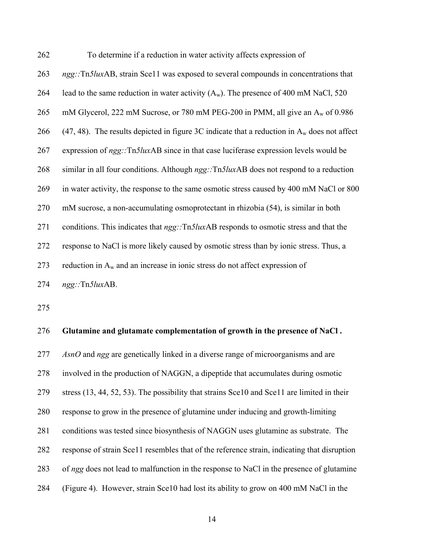| 262 | To determine if a reduction in water activity affects expression of                                   |
|-----|-------------------------------------------------------------------------------------------------------|
| 263 | ngg::Tn5luxAB, strain Sce11 was exposed to several compounds in concentrations that                   |
| 264 | lead to the same reduction in water activity $(A_w)$ . The presence of 400 mM NaCl, 520               |
| 265 | mM Glycerol, 222 mM Sucrose, or 780 mM PEG-200 in PMM, all give an $A_w$ of 0.986                     |
| 266 | (47, 48). The results depicted in figure 3C indicate that a reduction in $A_w$ does not affect        |
| 267 | expression of ngg::Tn5luxAB since in that case luciferase expression levels would be                  |
| 268 | similar in all four conditions. Although ngg::Tn5luxAB does not respond to a reduction                |
| 269 | in water activity, the response to the same osmotic stress caused by 400 mM NaCl or 800               |
| 270 | mM sucrose, a non-accumulating osmoprotectant in rhizobia (54), is similar in both                    |
| 271 | conditions. This indicates that <i>ngg</i> ::Tn5 <i>luxAB</i> responds to osmotic stress and that the |
| 272 | response to NaCl is more likely caused by osmotic stress than by ionic stress. Thus, a                |
| 273 | reduction in $A_w$ and an increase in ionic stress do not affect expression of                        |
| 274 | $ngg::Tn5luxAB$ .                                                                                     |

## 276 **Glutamine and glutamate complementation of growth in the presence of NaCl .**

277 *AsnO* and *ngg* are genetically linked in a diverse range of microorganisms and are 278 involved in the production of NAGGN, a dipeptide that accumulates during osmotic 279 stress (13, 44, 52, 53). The possibility that strains Sce10 and Sce11 are limited in their 280 response to grow in the presence of glutamine under inducing and growth-limiting 281 conditions was tested since biosynthesis of NAGGN uses glutamine as substrate. The 282 response of strain Sce11 resembles that of the reference strain, indicating that disruption 283 of *ngg* does not lead to malfunction in the response to NaCl in the presence of glutamine 284 (Figure 4). However, strain Sce10 had lost its ability to grow on 400 mM NaCl in the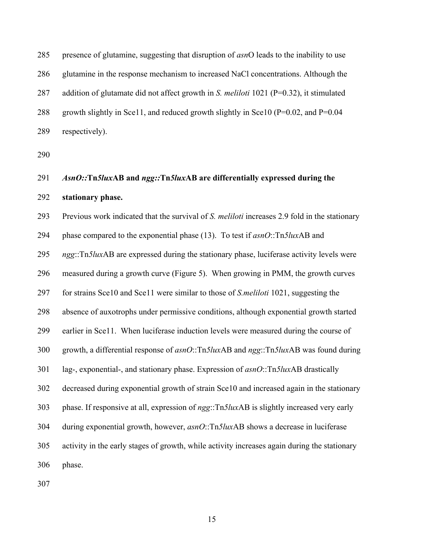285 presence of glutamine, suggesting that disruption of *asn*O leads to the inability to use 286 glutamine in the response mechanism to increased NaCl concentrations. Although the 287 addition of glutamate did not affect growth in *S. meliloti* 1021 (P=0.32), it stimulated 288 growth slightly in Sce11, and reduced growth slightly in Sce10 (P=0.02, and P=0.04 289 respectively).

290

# 291 *AsnO::***Tn***5lux***AB and** *ngg::***Tn***5lux***AB are differentially expressed during the**  292 **stationary phase.**

293 Previous work indicated that the survival of *S. meliloti* increases 2.9 fold in the stationary 294 phase compared to the exponential phase (13). To test if *asnO*::Tn*5lux*AB and 295 *ngg*::Tn*5lux*AB are expressed during the stationary phase, luciferase activity levels were 296 measured during a growth curve (Figure 5). When growing in PMM, the growth curves 297 for strains Sce10 and Sce11 were similar to those of *S.meliloti* 1021, suggesting the 298 absence of auxotrophs under permissive conditions, although exponential growth started 299 earlier in Sce11. When luciferase induction levels were measured during the course of 300 growth, a differential response of *asnO*::Tn*5lux*AB and *ngg*::Tn*5lux*AB was found during 301 lag-, exponential-, and stationary phase. Expression of *asnO*::Tn*5lux*AB drastically 302 decreased during exponential growth of strain Sce10 and increased again in the stationary 303 phase. If responsive at all, expression of *ngg*::Tn*5lux*AB is slightly increased very early 304 during exponential growth, however, *asnO*::Tn*5lux*AB shows a decrease in luciferase 305 activity in the early stages of growth, while activity increases again during the stationary 306 phase.

307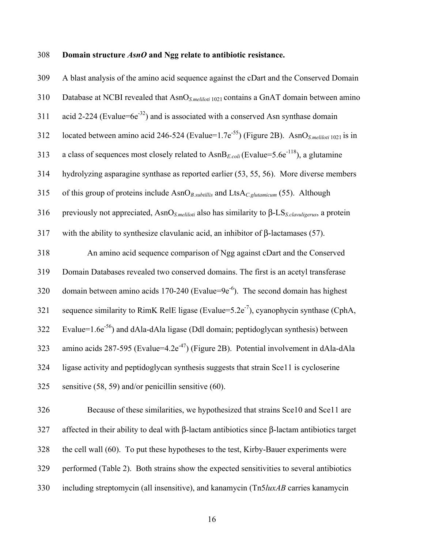#### 308 **Domain structure** *AsnO* **and Ngg relate to antibiotic resistance.**

309 A blast analysis of the amino acid sequence against the cDart and the Conserved Domain 310 Database at NCBI revealed that AsnO*S.meliloti* 1021 contains a GnAT domain between amino 311 acid 2-224 (Evalue=6e<sup>-32</sup>) and is associated with a conserved Asn synthase domain 312 located between amino acid 246-524 (Evalue=1.7e<sup>-55</sup>) (Figure 2B). AsnO<sub>*S.meliloti* 1021</sub> is in 313 a class of sequences most closely related to  $\text{AsnB}_{E, coli}$  (Evalue=5.6e<sup>-118</sup>), a glutamine 314 hydrolyzing asparagine synthase as reported earlier (53, 55, 56). More diverse members 315 of this group of proteins include AsnO*B.subtillis* and LtsA*C.glutamicum* (55). Although 316 previously not appreciated, AsnO*S.meliloti* also has similarity to β-LS*S.clavuligerus*, a protein 317 with the ability to synthesize clavulanic acid, an inhibitor of β-lactamases (57). 318 An amino acid sequence comparison of Ngg against cDart and the Conserved 319 Domain Databases revealed two conserved domains. The first is an acetyl transferase 320 domain between amino acids 170-240 (Evalue=9 $e^{-6}$ ). The second domain has highest 321 sequence similarity to RimK RelE ligase (Evalue=5.2e<sup>-7</sup>), cyanophycin synthase (CphA, Evalue= $1.6e^{-56}$  and dAla-dAla ligase (Ddl domain; peptidoglycan synthesis) between 323 amino acids 287-595 (Evalue=4.2e<sup>-47</sup>) (Figure 2B). Potential involvement in dAla-dAla 324 ligase activity and peptidoglycan synthesis suggests that strain Sce11 is cycloserine 325 sensitive (58, 59) and/or penicillin sensitive (60). 326 Because of these similarities, we hypothesized that strains Sce10 and Sce11 are 327 affected in their ability to deal with β-lactam antibiotics since β-lactam antibiotics target 328 the cell wall (60). To put these hypotheses to the test, Kirby-Bauer experiments were

330 including streptomycin (all insensitive), and kanamycin (Tn5*luxAB* carries kanamycin

329 performed (Table 2). Both strains show the expected sensitivities to several antibiotics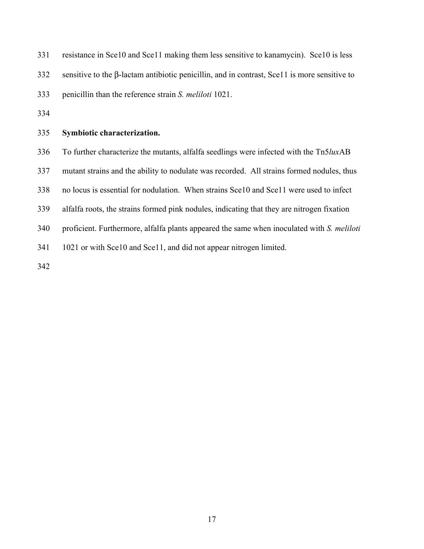331 resistance in Sce10 and Sce11 making them less sensitive to kanamycin). Sce10 is less 332 sensitive to the β-lactam antibiotic penicillin, and in contrast, Sce11 is more sensitive to 333 penicillin than the reference strain *S. meliloti* 1021.

334

#### 335 **Symbiotic characterization.**

336 To further characterize the mutants, alfalfa seedlings were infected with the Tn5*lux*AB

337 mutant strains and the ability to nodulate was recorded. All strains formed nodules, thus

338 no locus is essential for nodulation. When strains Sce10 and Sce11 were used to infect

339 alfalfa roots, the strains formed pink nodules, indicating that they are nitrogen fixation

340 proficient. Furthermore, alfalfa plants appeared the same when inoculated with *S. meliloti*

341 1021 or with Sce10 and Sce11, and did not appear nitrogen limited.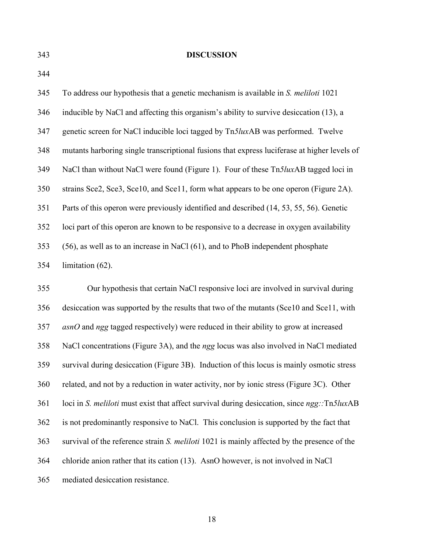#### 343 **DISCUSSION**

344

345 To address our hypothesis that a genetic mechanism is available in *S. meliloti* 1021  $346$  inducible by NaCl and affecting this organism's ability to survive desiccation (13), a 347 genetic screen for NaCl inducible loci tagged by Tn*5lux*AB was performed. Twelve 348 mutants harboring single transcriptional fusions that express luciferase at higher levels of 349 NaCl than without NaCl were found (Figure 1). Four of these Tn*5lux*AB tagged loci in 350 strains Sce2, Sce3, Sce10, and Sce11, form what appears to be one operon (Figure 2A). 351 Parts of this operon were previously identified and described (14, 53, 55, 56). Genetic 352 loci part of this operon are known to be responsive to a decrease in oxygen availability 353 (56), as well as to an increase in NaCl (61), and to PhoB independent phosphate 354 limitation (62).

355 Our hypothesis that certain NaCl responsive loci are involved in survival during 356 desiccation was supported by the results that two of the mutants (Sce10 and Sce11, with 357 *asnO* and *ngg* tagged respectively) were reduced in their ability to grow at increased 358 NaCl concentrations (Figure 3A), and the *ngg* locus was also involved in NaCl mediated 359 survival during desiccation (Figure 3B). Induction of this locus is mainly osmotic stress 360 related, and not by a reduction in water activity, nor by ionic stress (Figure 3C). Other 361 loci in *S. meliloti* must exist that affect survival during desiccation, since *ngg::*Tn*5lux*AB 362 is not predominantly responsive to NaCl. This conclusion is supported by the fact that 363 survival of the reference strain *S. meliloti* 1021 is mainly affected by the presence of the 364 chloride anion rather that its cation (13). AsnO however, is not involved in NaCl 365 mediated desiccation resistance.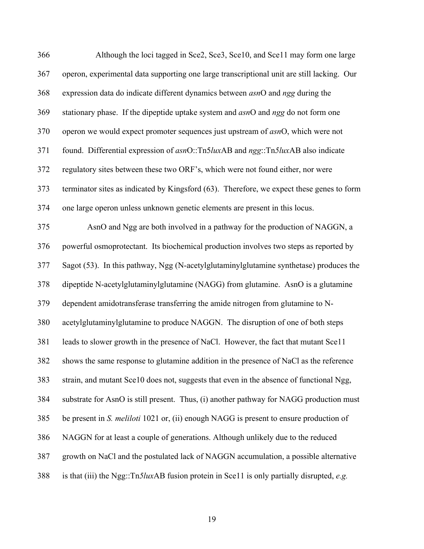| 366 | Although the loci tagged in Sce2, Sce3, Sce10, and Sce11 may form one large                     |
|-----|-------------------------------------------------------------------------------------------------|
| 367 | operon, experimental data supporting one large transcriptional unit are still lacking. Our      |
| 368 | expression data do indicate different dynamics between asnO and ngg during the                  |
| 369 | stationary phase. If the dipeptide uptake system and <i>asnO</i> and <i>ngg</i> do not form one |
| 370 | operon we would expect promoter sequences just upstream of asnO, which were not                 |
| 371 | found. Differential expression of asnO::Tn5luxAB and ngg::Tn5luxAB also indicate                |
| 372 | regulatory sites between these two ORF's, which were not found either, nor were                 |
| 373 | terminator sites as indicated by Kingsford (63). Therefore, we expect these genes to form       |
| 374 | one large operon unless unknown genetic elements are present in this locus.                     |
| 375 | AsnO and Ngg are both involved in a pathway for the production of NAGGN, a                      |
| 376 | powerful osmoprotectant. Its biochemical production involves two steps as reported by           |
| 377 | Sagot (53). In this pathway, Ngg (N-acetylglutaminylglutamine synthetase) produces the          |
| 378 | dipeptide N-acetylglutaminylglutamine (NAGG) from glutamine. AsnO is a glutamine                |
| 379 | dependent amidotransferase transferring the amide nitrogen from glutamine to N-                 |
| 380 | acetylglutaminylglutamine to produce NAGGN. The disruption of one of both steps                 |
| 381 | leads to slower growth in the presence of NaCl. However, the fact that mutant Sce11             |
| 382 | shows the same response to glutamine addition in the presence of NaCl as the reference          |
| 383 | strain, and mutant Sce10 does not, suggests that even in the absence of functional Ngg,         |
| 384 | substrate for AsnO is still present. Thus, (i) another pathway for NAGG production must         |
| 385 | be present in S. <i>meliloti</i> 1021 or, (ii) enough NAGG is present to ensure production of   |
| 386 | NAGGN for at least a couple of generations. Although unlikely due to the reduced                |
| 387 | growth on NaCl and the postulated lack of NAGGN accumulation, a possible alternative            |
| 388 | is that (iii) the Ngg::Tn5luxAB fusion protein in Sce11 is only partially disrupted, e.g.       |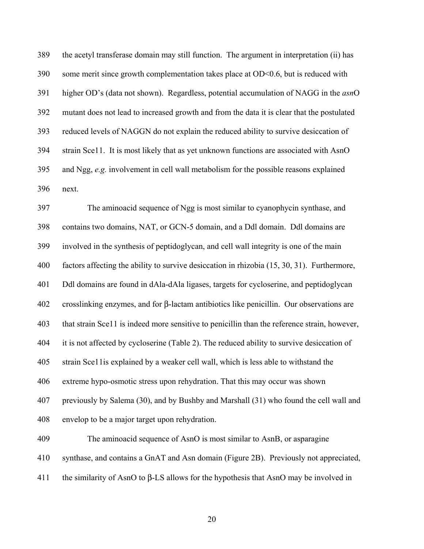389 the acetyl transferase domain may still function. The argument in interpretation (ii) has 390 some merit since growth complementation takes place at OD<0.6, but is reduced with 391 higher OD's (data not shown). Regardless, potential accumulation of NAGG in the *asn*O 392 mutant does not lead to increased growth and from the data it is clear that the postulated 393 reduced levels of NAGGN do not explain the reduced ability to survive desiccation of 394 strain Sce11. It is most likely that as yet unknown functions are associated with AsnO 395 and Ngg, *e.g.* involvement in cell wall metabolism for the possible reasons explained 396 next.

397 The aminoacid sequence of Ngg is most similar to cyanophycin synthase, and 398 contains two domains, NAT, or GCN-5 domain, and a Ddl domain. Ddl domains are 399 involved in the synthesis of peptidoglycan, and cell wall integrity is one of the main 400 factors affecting the ability to survive desiccation in rhizobia (15, 30, 31). Furthermore, 401 Ddl domains are found in dAla-dAla ligases, targets for cycloserine, and peptidoglycan 402 crosslinking enzymes, and for β-lactam antibiotics like penicillin. Our observations are 403 that strain Sce11 is indeed more sensitive to penicillin than the reference strain, however, 404 it is not affected by cycloserine (Table 2). The reduced ability to survive desiccation of 405 strain Sce11is explained by a weaker cell wall, which is less able to withstand the 406 extreme hypo-osmotic stress upon rehydration. That this may occur was shown 407 previously by Salema (30), and by Bushby and Marshall (31) who found the cell wall and 408 envelop to be a major target upon rehydration. 409 The aminoacid sequence of AsnO is most similar to AsnB, or asparagine 410 synthase, and contains a GnAT and Asn domain (Figure 2B). Previously not appreciated,

411 the similarity of AsnO to β-LS allows for the hypothesis that AsnO may be involved in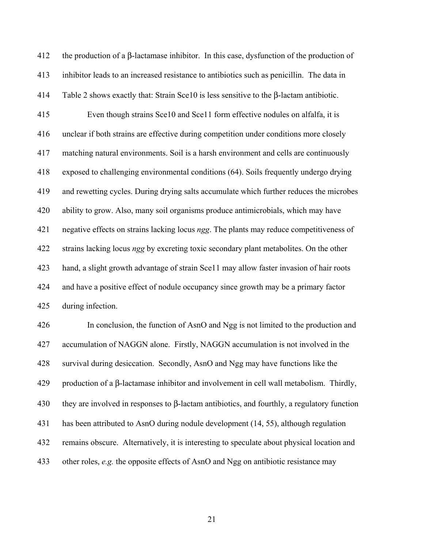412 the production of a  $\beta$ -lactamase inhibitor. In this case, dysfunction of the production of 413 inhibitor leads to an increased resistance to antibiotics such as penicillin. The data in 414 Table 2 shows exactly that: Strain Sce10 is less sensitive to the β-lactam antibiotic. 415 Even though strains Sce10 and Sce11 form effective nodules on alfalfa, it is 416 unclear if both strains are effective during competition under conditions more closely 417 matching natural environments. Soil is a harsh environment and cells are continuously 418 exposed to challenging environmental conditions (64). Soils frequently undergo drying 419 and rewetting cycles. During drying salts accumulate which further reduces the microbes 420 ability to grow. Also, many soil organisms produce antimicrobials, which may have 421 negative effects on strains lacking locus *ngg*. The plants may reduce competitiveness of 422 strains lacking locus *ngg* by excreting toxic secondary plant metabolites. On the other 423 hand, a slight growth advantage of strain Sce11 may allow faster invasion of hair roots 424 and have a positive effect of nodule occupancy since growth may be a primary factor 425 during infection.

426 In conclusion, the function of AsnO and Ngg is not limited to the production and 427 accumulation of NAGGN alone. Firstly, NAGGN accumulation is not involved in the 428 survival during desiccation. Secondly, AsnO and Ngg may have functions like the 429 production of a β-lactamase inhibitor and involvement in cell wall metabolism. Thirdly, 430 they are involved in responses to  $\beta$ -lactam antibiotics, and fourthly, a regulatory function 431 has been attributed to AsnO during nodule development (14, 55), although regulation 432 remains obscure. Alternatively, it is interesting to speculate about physical location and 433 other roles, *e.g.* the opposite effects of AsnO and Ngg on antibiotic resistance may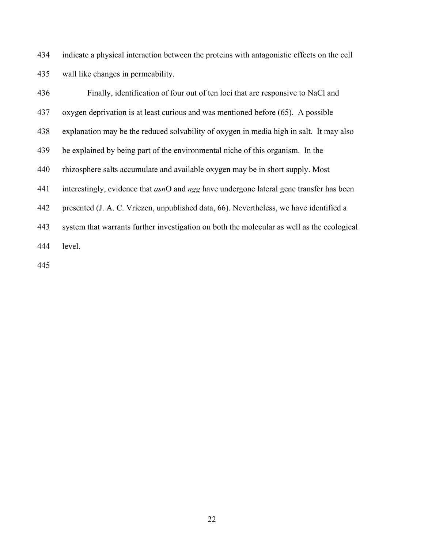434 indicate a physical interaction between the proteins with antagonistic effects on the cell 435 wall like changes in permeability.

436 Finally, identification of four out of ten loci that are responsive to NaCl and 437 oxygen deprivation is at least curious and was mentioned before (65). A possible 438 explanation may be the reduced solvability of oxygen in media high in salt. It may also 439 be explained by being part of the environmental niche of this organism. In the 440 rhizosphere salts accumulate and available oxygen may be in short supply. Most 441 interestingly, evidence that *asn*O and *ngg* have undergone lateral gene transfer has been 442 presented (J. A. C. Vriezen, unpublished data, 66). Nevertheless, we have identified a 443 system that warrants further investigation on both the molecular as well as the ecological 444 level.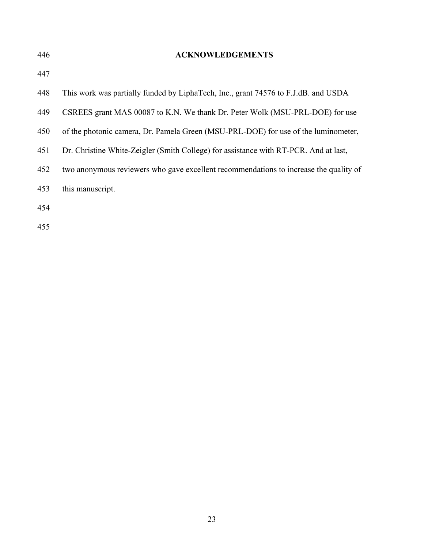| 446 | <b>ACKNOWLEDGEMENTS</b>                                                               |
|-----|---------------------------------------------------------------------------------------|
| 447 |                                                                                       |
| 448 | This work was partially funded by LiphaTech, Inc., grant 74576 to F.J.dB. and USDA    |
| 449 | CSREES grant MAS 00087 to K.N. We thank Dr. Peter Wolk (MSU-PRL-DOE) for use          |
| 450 | of the photonic camera, Dr. Pamela Green (MSU-PRL-DOE) for use of the luminometer,    |
| 451 | Dr. Christine White-Zeigler (Smith College) for assistance with RT-PCR. And at last,  |
| 452 | two anonymous reviewers who gave excellent recommendations to increase the quality of |
| 453 | this manuscript.                                                                      |
| 454 |                                                                                       |
| 455 |                                                                                       |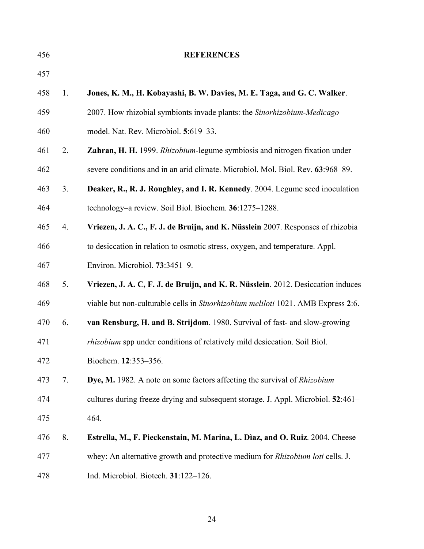| 456 |    | <b>REFERENCES</b>                                                                     |
|-----|----|---------------------------------------------------------------------------------------|
| 457 |    |                                                                                       |
| 458 | 1. | Jones, K. M., H. Kobayashi, B. W. Davies, M. E. Taga, and G. C. Walker.               |
| 459 |    | 2007. How rhizobial symbionts invade plants: the Sinorhizobium-Medicago               |
| 460 |    | model. Nat. Rev. Microbiol. 5:619-33.                                                 |
| 461 | 2. | Zahran, H. H. 1999. Rhizobium-legume symbiosis and nitrogen fixation under            |
| 462 |    | severe conditions and in an arid climate. Microbiol. Mol. Biol. Rev. 63:968–89.       |
| 463 | 3. | Deaker, R., R. J. Roughley, and I. R. Kennedy. 2004. Legume seed inoculation          |
| 464 |    | technology–a review. Soil Biol. Biochem. 36:1275–1288.                                |
| 465 | 4. | Vriezen, J. A. C., F. J. de Bruijn, and K. Nüsslein 2007. Responses of rhizobia       |
| 466 |    | to desiccation in relation to osmotic stress, oxygen, and temperature. Appl.          |
| 467 |    | Environ. Microbiol. 73:3451-9.                                                        |
| 468 | 5. | Vriezen, J. A. C, F. J. de Bruijn, and K. R. Nüsslein. 2012. Desiccation induces      |
| 469 |    | viable but non-culturable cells in Sinorhizobium meliloti 1021. AMB Express 2:6.      |
| 470 | 6. | van Rensburg, H. and B. Strijdom. 1980. Survival of fast- and slow-growing            |
| 471 |    | rhizobium spp under conditions of relatively mild desiccation. Soil Biol.             |
| 472 |    | Biochem. 12:353-356.                                                                  |
| 473 | 7. | Dye, M. 1982. A note on some factors affecting the survival of <i>Rhizobium</i>       |
| 474 |    | cultures during freeze drying and subsequent storage. J. Appl. Microbiol. 52:461-     |
| 475 |    | 464.                                                                                  |
| 476 | 8. | Estrella, M., F. Pieckenstain, M. Marina, L. Dìaz, and O. Ruiz. 2004. Cheese          |
| 477 |    | whey: An alternative growth and protective medium for <i>Rhizobium loti</i> cells. J. |
| 478 |    | Ind. Microbiol. Biotech. 31:122-126.                                                  |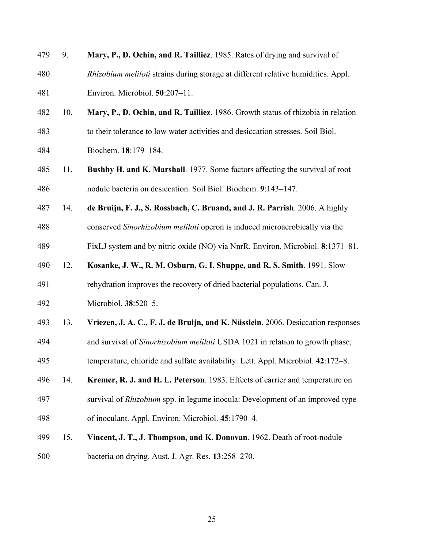| 479 | 9.  | Mary, P., D. Ochin, and R. Tailliez. 1985. Rates of drying and survival of           |
|-----|-----|--------------------------------------------------------------------------------------|
| 480 |     | Rhizobium meliloti strains during storage at different relative humidities. Appl.    |
| 481 |     | Environ. Microbiol. 50:207-11.                                                       |
| 482 | 10. | Mary, P., D. Ochin, and R. Tailliez. 1986. Growth status of rhizobia in relation     |
| 483 |     | to their tolerance to low water activities and desiccation stresses. Soil Biol.      |
| 484 |     | Biochem. 18:179-184.                                                                 |
| 485 | 11. | <b>Bushby H. and K. Marshall</b> . 1977. Some factors affecting the survival of root |
| 486 |     | nodule bacteria on desiccation. Soil Biol. Biochem. 9:143-147.                       |
| 487 | 14. | de Bruijn, F. J., S. Rossbach, C. Bruand, and J. R. Parrish. 2006. A highly          |
| 488 |     | conserved Sinorhizobium meliloti operon is induced microaerobically via the          |
| 489 |     | FixLJ system and by nitric oxide (NO) via NnrR. Environ. Microbiol. 8:1371–81.       |
| 490 | 12. | Kosanke, J. W., R. M. Osburn, G. I. Shuppe, and R. S. Smith. 1991. Slow              |
| 491 |     | rehydration improves the recovery of dried bacterial populations. Can. J.            |
| 492 |     | Microbiol. 38:520-5.                                                                 |
| 493 | 13. | Vriezen, J. A. C., F. J. de Bruijn, and K. Nüsslein. 2006. Desiccation responses     |
| 494 |     | and survival of Sinorhizobium meliloti USDA 1021 in relation to growth phase,        |
| 495 |     | temperature, chloride and sulfate availability. Lett. Appl. Microbiol. 42:172-8.     |
| 496 | 14. | Kremer, R. J. and H. L. Peterson. 1983. Effects of carrier and temperature on        |
| 497 |     | survival of <i>Rhizobium</i> spp. in legume inocula: Development of an improved type |
| 498 |     | of inoculant. Appl. Environ. Microbiol. 45:1790-4.                                   |
| 499 | 15. | Vincent, J. T., J. Thompson, and K. Donovan. 1962. Death of root-nodule              |
| 500 |     | bacteria on drying. Aust. J. Agr. Res. 13:258-270.                                   |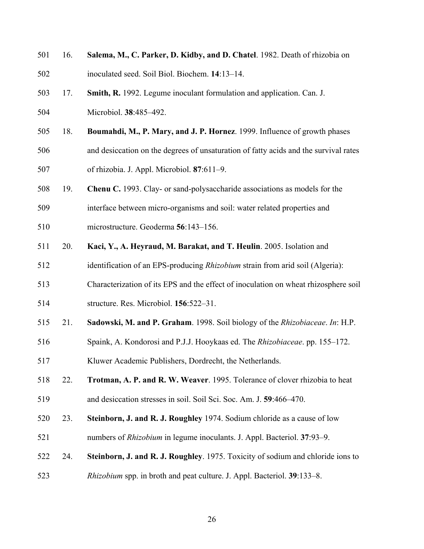| 501 | 16. | Salema, M., C. Parker, D. Kidby, and D. Chatel. 1982. Death of rhizobia on           |
|-----|-----|--------------------------------------------------------------------------------------|
| 502 |     | inoculated seed. Soil Biol. Biochem. 14:13-14.                                       |
| 503 | 17. | Smith, R. 1992. Legume inoculant formulation and application. Can. J.                |
| 504 |     | Microbiol. 38:485-492.                                                               |
| 505 | 18. | Boumahdi, M., P. Mary, and J. P. Hornez. 1999. Influence of growth phases            |
| 506 |     | and desiccation on the degrees of unsaturation of fatty acids and the survival rates |
| 507 |     | of rhizobia. J. Appl. Microbiol. 87:611-9.                                           |
| 508 | 19. | <b>Chenu C.</b> 1993. Clay- or sand-polysaccharide associations as models for the    |
| 509 |     | interface between micro-organisms and soil: water related properties and             |
| 510 |     | microstructure. Geoderma 56:143-156.                                                 |
| 511 | 20. | Kaci, Y., A. Heyraud, M. Barakat, and T. Heulin. 2005. Isolation and                 |
| 512 |     | identification of an EPS-producing Rhizobium strain from arid soil (Algeria):        |
| 513 |     | Characterization of its EPS and the effect of inoculation on wheat rhizosphere soil  |
| 514 |     | structure. Res. Microbiol. 156:522-31.                                               |
| 515 | 21. | Sadowski, M. and P. Graham. 1998. Soil biology of the Rhizobiaceae. In: H.P.         |
| 516 |     | Spaink, A. Kondorosi and P.J.J. Hooykaas ed. The Rhizobiaceae. pp. 155-172.          |
| 517 |     | Kluwer Academic Publishers, Dordrecht, the Netherlands.                              |
| 518 | 22. | Trotman, A. P. and R. W. Weaver. 1995. Tolerance of clover rhizobia to heat          |
| 519 |     | and desiccation stresses in soil. Soil Sci. Soc. Am. J. 59:466–470.                  |
| 520 | 23. | Steinborn, J. and R. J. Roughley 1974. Sodium chloride as a cause of low             |
| 521 |     | numbers of <i>Rhizobium</i> in legume inoculants. J. Appl. Bacteriol. 37:93-9.       |
| 522 | 24. | Steinborn, J. and R. J. Roughley. 1975. Toxicity of sodium and chloride ions to      |
| 523 |     | <i>Rhizobium</i> spp. in broth and peat culture. J. Appl. Bacteriol. 39:133–8.       |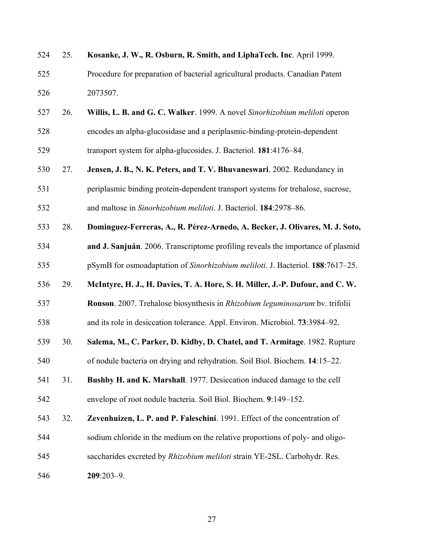| 524 | 25. | Kosanke, J. W., R. Osburn, R. Smith, and LiphaTech. Inc. April 1999.                |
|-----|-----|-------------------------------------------------------------------------------------|
| 525 |     | Procedure for preparation of bacterial agricultural products. Canadian Patent       |
| 526 |     | 2073507.                                                                            |
| 527 | 26. | Willis, L. B. and G. C. Walker. 1999. A novel Sinorhizobium meliloti operon         |
| 528 |     | encodes an alpha-glucosidase and a periplasmic-binding-protein-dependent            |
| 529 |     | transport system for alpha-glucosides. J. Bacteriol. 181:4176-84.                   |
| 530 | 27. | Jensen, J. B., N. K. Peters, and T. V. Bhuvaneswari. 2002. Redundancy in            |
| 531 |     | periplasmic binding protein-dependent transport systems for trehalose, sucrose,     |
| 532 |     | and maltose in Sinorhizobium meliloti. J. Bacteriol. 184:2978-86.                   |
| 533 | 28. | Dominguez-Ferreras, A., R. Pérez-Arnedo, A. Becker, J. Olivares, M. J. Soto,        |
| 534 |     | and J. Sanjuán. 2006. Transcriptome profiling reveals the importance of plasmid     |
| 535 |     | pSymB for osmoadaptation of Sinorhizobium meliloti. J. Bacteriol. 188:7617-25.      |
| 536 | 29. | McIntyre, H. J., H. Davies, T. A. Hore, S. H. Miller, J.-P. Dufour, and C. W.       |
| 537 |     | Ronson. 2007. Trehalose biosynthesis in <i>Rhizobium leguminosarum</i> by. trifolii |
| 538 |     | and its role in desiccation tolerance. Appl. Environ. Microbiol. 73:3984–92.        |
| 539 | 30. | Salema, M., C. Parker, D. Kidby, D. Chatel, and T. Armitage. 1982. Rupture          |
| 540 |     | of nodule bacteria on drying and rehydration. Soil Biol. Biochem. 14:15–22.         |
| 541 | 31. | Bushby H. and K. Marshall. 1977. Desiccation induced damage to the cell             |
| 542 |     | envelope of root nodule bacteria. Soil Biol. Biochem. 9:149-152.                    |
| 543 | 32. | Zevenhuizen, L. P. and P. Faleschini. 1991. Effect of the concentration of          |
| 544 |     | sodium chloride in the medium on the relative proportions of poly- and oligo-       |
| 545 |     | saccharides excreted by Rhizobium meliloti strain YE-2SL. Carbohydr. Res.           |
| 546 |     | $209:203-9$ .                                                                       |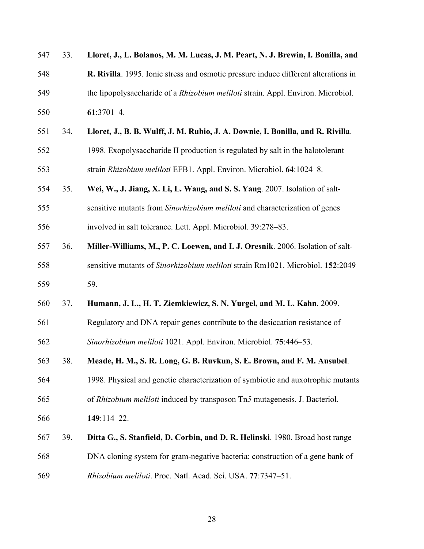| 547 | 33. | Lloret, J., L. Bolanos, M. M. Lucas, J. M. Peart, N. J. Brewin, I. Bonilla, and     |
|-----|-----|-------------------------------------------------------------------------------------|
| 548 |     | R. Rivilla. 1995. Ionic stress and osmotic pressure induce different alterations in |
| 549 |     | the lipopolysaccharide of a Rhizobium meliloti strain. Appl. Environ. Microbiol.    |
| 550 |     | $61:3701-4.$                                                                        |
| 551 | 34. | Lloret, J., B. B. Wulff, J. M. Rubio, J. A. Downie, I. Bonilla, and R. Rivilla.     |
| 552 |     | 1998. Exopolysaccharide II production is regulated by salt in the halotolerant      |
| 553 |     | strain Rhizobium meliloti EFB1. Appl. Environ. Microbiol. 64:1024-8.                |
| 554 | 35. | Wei, W., J. Jiang, X. Li, L. Wang, and S. S. Yang. 2007. Isolation of salt-         |
| 555 |     | sensitive mutants from Sinorhizobium meliloti and characterization of genes         |
| 556 |     | involved in salt tolerance. Lett. Appl. Microbiol. 39:278-83.                       |
| 557 | 36. | Miller-Williams, M., P. C. Loewen, and I. J. Oresnik. 2006. Isolation of salt-      |
| 558 |     | sensitive mutants of Sinorhizobium meliloti strain Rm1021. Microbiol. 152:2049-     |
| 559 |     | 59.                                                                                 |
| 560 | 37. | Humann, J. L., H. T. Ziemkiewicz, S. N. Yurgel, and M. L. Kahn. 2009.               |
| 561 |     | Regulatory and DNA repair genes contribute to the desiccation resistance of         |
| 562 |     | Sinorhizobium meliloti 1021. Appl. Environ. Microbiol. 75:446-53.                   |
| 563 | 38. | Meade, H. M., S. R. Long, G. B. Ruvkun, S. E. Brown, and F. M. Ausubel.             |
| 564 |     | 1998. Physical and genetic characterization of symbiotic and auxotrophic mutants    |
| 565 |     | of Rhizobium meliloti induced by transposon Tn5 mutagenesis. J. Bacteriol.          |
| 566 |     | 149:114-22.                                                                         |
| 567 | 39. | Ditta G., S. Stanfield, D. Corbin, and D. R. Helinski. 1980. Broad host range       |
| 568 |     | DNA cloning system for gram-negative bacteria: construction of a gene bank of       |
| 569 |     | Rhizobium meliloti. Proc. Natl. Acad. Sci. USA. 77:7347-51.                         |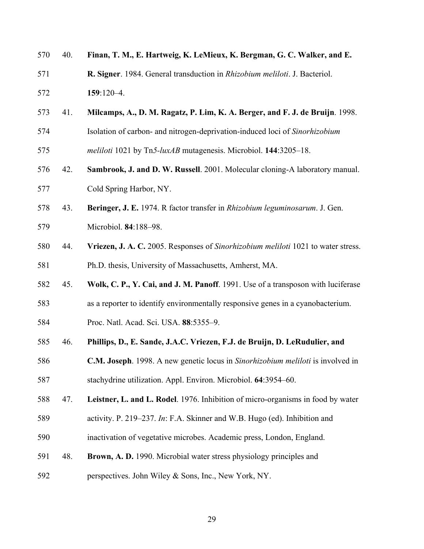| 570 | 40. | Finan, T. M., E. Hartweig, K. LeMieux, K. Bergman, G. C. Walker, and E.                        |
|-----|-----|------------------------------------------------------------------------------------------------|
| 571 |     | R. Signer. 1984. General transduction in Rhizobium meliloti. J. Bacteriol.                     |
| 572 |     | $159:120-4.$                                                                                   |
| 573 | 41. | Milcamps, A., D. M. Ragatz, P. Lim, K. A. Berger, and F. J. de Bruijn. 1998.                   |
| 574 |     | Isolation of carbon- and nitrogen-deprivation-induced loci of Sinorhizobium                    |
| 575 |     | meliloti 1021 by Tn5-luxAB mutagenesis. Microbiol. 144:3205-18.                                |
| 576 | 42. | Sambrook, J. and D. W. Russell. 2001. Molecular cloning-A laboratory manual.                   |
| 577 |     | Cold Spring Harbor, NY.                                                                        |
| 578 | 43. | Beringer, J. E. 1974. R factor transfer in Rhizobium leguminosarum. J. Gen.                    |
| 579 |     | Microbiol. 84:188-98.                                                                          |
| 580 | 44. | Vriezen, J. A. C. 2005. Responses of Sinorhizobium meliloti 1021 to water stress.              |
| 581 |     | Ph.D. thesis, University of Massachusetts, Amherst, MA.                                        |
| 582 | 45. | Wolk, C. P., Y. Cai, and J. M. Panoff. 1991. Use of a transposon with luciferase               |
| 583 |     | as a reporter to identify environmentally responsive genes in a cyanobacterium.                |
| 584 |     | Proc. Natl. Acad. Sci. USA. 88:5355-9.                                                         |
| 585 | 46. | Phillips, D., E. Sande, J.A.C. Vriezen, F.J. de Bruijn, D. LeRudulier, and                     |
| 586 |     | <b>C.M. Joseph</b> . 1998. A new genetic locus in <i>Sinorhizobium meliloti</i> is involved in |
| 587 |     | stachydrine utilization. Appl. Environ. Microbiol. 64:3954–60.                                 |
| 588 | 47. | Leistner, L. and L. Rodel. 1976. Inhibition of micro-organisms in food by water                |
| 589 |     | activity. P. 219–237. In: F.A. Skinner and W.B. Hugo (ed). Inhibition and                      |
| 590 |     | inactivation of vegetative microbes. Academic press, London, England.                          |
| 591 | 48. | Brown, A. D. 1990. Microbial water stress physiology principles and                            |
| 592 |     | perspectives. John Wiley & Sons, Inc., New York, NY.                                           |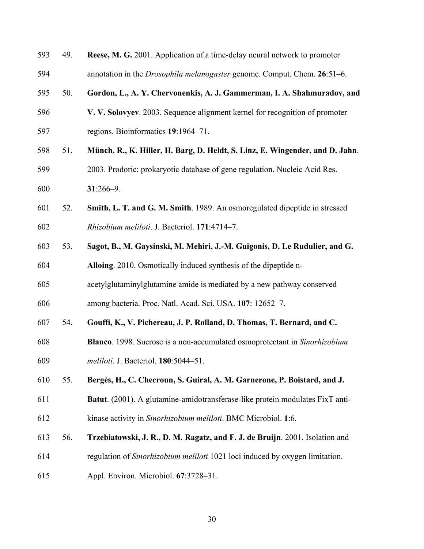| 593 | 49. | <b>Reese, M. G.</b> 2001. Application of a time-delay neural network to promoter |
|-----|-----|----------------------------------------------------------------------------------|
| 594 |     | annotation in the <i>Drosophila melanogaster</i> genome. Comput. Chem. 26:51–6.  |
| 595 | 50. | Gordon, L., A. Y. Chervonenkis, A. J. Gammerman, I. A. Shahmuradov, and          |
| 596 |     | V. V. Solovyev. 2003. Sequence alignment kernel for recognition of promoter      |
| 597 |     | regions. Bioinformatics 19:1964-71.                                              |
| 598 | 51. | Münch, R., K. Hiller, H. Barg, D. Heldt, S. Linz, E. Wingender, and D. Jahn.     |
| 599 |     | 2003. Prodoric: prokaryotic database of gene regulation. Nucleic Acid Res.       |
| 600 |     | $31:266 - 9$ .                                                                   |
| 601 | 52. | Smith, L. T. and G. M. Smith. 1989. An osmoregulated dipeptide in stressed       |
| 602 |     | Rhizobium meliloti. J. Bacteriol. 171:4714-7.                                    |
| 603 | 53. | Sagot, B., M. Gaysinski, M. Mehiri, J.-M. Guigonis, D. Le Rudulier, and G.       |
| 604 |     | Alloing. 2010. Osmotically induced synthesis of the dipeptide n-                 |
| 605 |     | acetylglutaminylglutamine amide is mediated by a new pathway conserved           |
| 606 |     | among bacteria. Proc. Natl. Acad. Sci. USA. 107: 12652-7.                        |
| 607 | 54. | Gouffi, K., V. Pichereau, J. P. Rolland, D. Thomas, T. Bernard, and C.           |
| 608 |     | Blanco. 1998. Sucrose is a non-accumulated osmoprotectant in Sinorhizobium       |
| 609 |     | meliloti. J. Bacteriol. 180:5044–51.                                             |
| 610 | 55. | Bergès, H., C. Checroun, S. Guiral, A. M. Garnerone, P. Boistard, and J.         |
| 611 |     | Batut. (2001). A glutamine-amidotransferase-like protein modulates FixT anti-    |
| 612 |     | kinase activity in Sinorhizobium meliloti. BMC Microbiol. 1:6.                   |
| 613 | 56. | Trzebiatowski, J. R., D. M. Ragatz, and F. J. de Bruijn. 2001. Isolation and     |
| 614 |     | regulation of Sinorhizobium meliloti 1021 loci induced by oxygen limitation.     |
| 615 |     | Appl. Environ. Microbiol. 67:3728-31.                                            |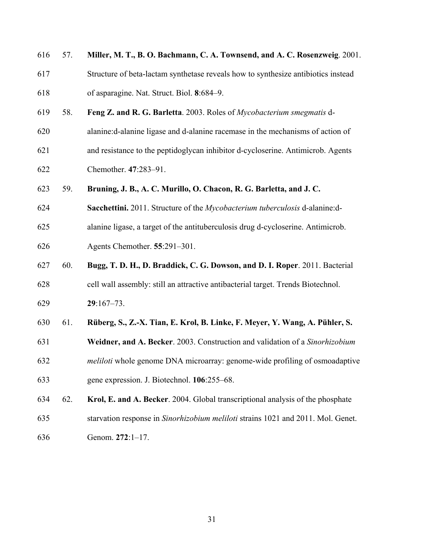| 616 | 57. | Miller, M. T., B. O. Bachmann, C. A. Townsend, and A. C. Rosenzweig. 2001.         |
|-----|-----|------------------------------------------------------------------------------------|
| 617 |     | Structure of beta-lactam synthetase reveals how to synthesize antibiotics instead  |
| 618 |     | of asparagine. Nat. Struct. Biol. 8:684-9.                                         |
| 619 | 58. | Feng Z. and R. G. Barletta. 2003. Roles of Mycobacterium smegmatis d-              |
| 620 |     | alanine: d-alanine ligase and d-alanine racemase in the mechanisms of action of    |
| 621 |     | and resistance to the peptidoglycan inhibitor d-cycloserine. Antimicrob. Agents    |
| 622 |     | Chemother. 47:283-91.                                                              |
| 623 | 59. | Bruning, J. B., A. C. Murillo, O. Chacon, R. G. Barletta, and J. C.                |
| 624 |     | Sacchettini. 2011. Structure of the Mycobacterium tuberculosis d-alanine:d-        |
| 625 |     | alanine ligase, a target of the antituberculosis drug d-cycloserine. Antimicrob.   |
| 626 |     | Agents Chemother. 55:291-301.                                                      |
| 627 | 60. | Bugg, T. D. H., D. Braddick, C. G. Dowson, and D. I. Roper. 2011. Bacterial        |
| 628 |     | cell wall assembly: still an attractive antibacterial target. Trends Biotechnol.   |
| 629 |     | $29:167 - 73.$                                                                     |
| 630 | 61. | Rüberg, S., Z.-X. Tian, E. Krol, B. Linke, F. Meyer, Y. Wang, A. Pühler, S.        |
| 631 |     | Weidner, and A. Becker. 2003. Construction and validation of a Sinorhizobium       |
| 632 |     | <i>meliloti</i> whole genome DNA microarray: genome-wide profiling of osmoadaptive |
| 633 |     | gene expression. J. Biotechnol. 106:255–68.                                        |
| 634 | 62. | Krol, E. and A. Becker. 2004. Global transcriptional analysis of the phosphate     |
| 635 |     | starvation response in Sinorhizobium meliloti strains 1021 and 2011. Mol. Genet.   |
| 636 |     | Genom. 272:1-17.                                                                   |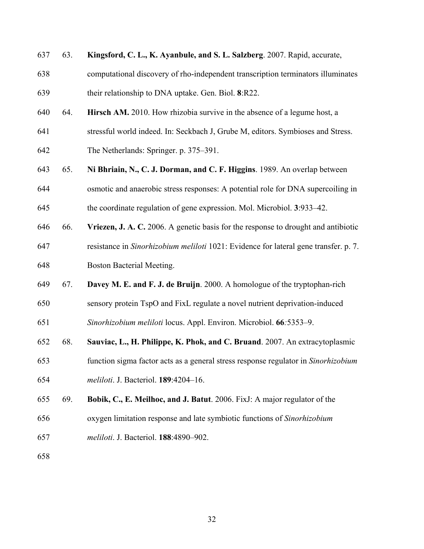| 637 | 63. | Kingsford, C. L., K. Ayanbule, and S. L. Salzberg. 2007. Rapid, accurate,            |
|-----|-----|--------------------------------------------------------------------------------------|
| 638 |     | computational discovery of rho-independent transcription terminators illuminates     |
| 639 |     | their relationship to DNA uptake. Gen. Biol. 8:R22.                                  |
| 640 | 64. | Hirsch AM. 2010. How rhizobia survive in the absence of a legume host, a             |
| 641 |     | stressful world indeed. In: Seckbach J, Grube M, editors. Symbioses and Stress.      |
| 642 |     | The Netherlands: Springer. p. 375–391.                                               |
| 643 | 65. | Ni Bhriain, N., C. J. Dorman, and C. F. Higgins. 1989. An overlap between            |
| 644 |     | osmotic and anaerobic stress responses: A potential role for DNA supercoiling in     |
| 645 |     | the coordinate regulation of gene expression. Mol. Microbiol. 3:933–42.              |
| 646 | 66. | Vriezen, J. A. C. 2006. A genetic basis for the response to drought and antibiotic   |
| 647 |     | resistance in Sinorhizobium meliloti 1021: Evidence for lateral gene transfer. p. 7. |
| 648 |     | Boston Bacterial Meeting.                                                            |
| 649 | 67. | Davey M. E. and F. J. de Bruijn. 2000. A homologue of the tryptophan-rich            |
| 650 |     | sensory protein TspO and FixL regulate a novel nutrient deprivation-induced          |
| 651 |     | Sinorhizobium meliloti locus. Appl. Environ. Microbiol. 66:5353-9.                   |
| 652 | 68. | Sauviac, L., H. Philippe, K. Phok, and C. Bruand. 2007. An extracytoplasmic          |
| 653 |     | function sigma factor acts as a general stress response regulator in Sinorhizobium   |
| 654 |     | meliloti. J. Bacteriol. 189:4204-16.                                                 |
| 655 | 69. | Bobik, C., E. Meilhoc, and J. Batut. 2006. FixJ: A major regulator of the            |
| 656 |     | oxygen limitation response and late symbiotic functions of Sinorhizobium             |
| 657 |     | meliloti. J. Bacteriol. 188:4890-902.                                                |
| 658 |     |                                                                                      |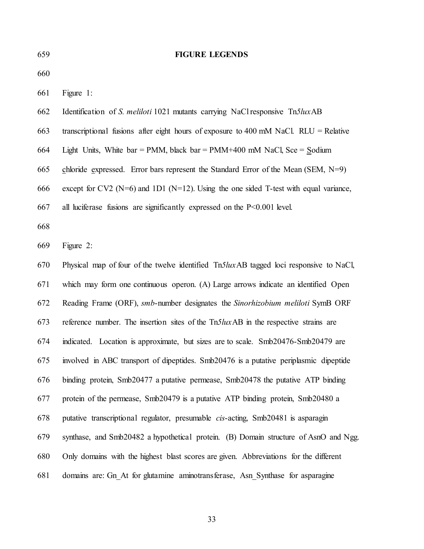| 659 | <b>FIGURE LEGENDS</b>                                                                        |
|-----|----------------------------------------------------------------------------------------------|
| 660 |                                                                                              |
| 661 | Figure 1:                                                                                    |
| 662 | Identification of S. meliloti 1021 mutants carrying NaCl responsive Tn5luxAB                 |
| 663 | transcriptional fusions after eight hours of exposure to 400 mM NaCl. $RLU = Relative$       |
| 664 | Light Units, White bar = PMM, black bar = PMM+400 mM NaCl, Sce = Sodium                      |
| 665 | chloride expressed. Error bars represent the Standard Error of the Mean $(SEM, N=9)$         |
| 666 | except for CV2 ( $N=6$ ) and 1D1 ( $N=12$ ). Using the one sided T-test with equal variance, |
| 667 | all luciferase fusions are significantly expressed on the $P<0.001$ level.                   |
| 668 |                                                                                              |
| 669 | Figure 2:                                                                                    |
| 670 | Physical map of four of the twelve identified Tn5luxAB tagged loci responsive to NaCl,       |
| 671 | which may form one continuous operon. (A) Large arrows indicate an identified Open           |
| 672 | Reading Frame (ORF), smb-number designates the Sinorhizobium meliloti SymB ORF               |
| 673 | reference number. The insertion sites of the Tn5luxAB in the respective strains are          |
| 674 | indicated. Location is approximate, but sizes are to scale. Smb20476-Smb20479 are            |
| 675 | involved in ABC transport of dipeptides. Smb20476 is a putative periplasmic dipeptide        |
| 676 | binding protein, Smb20477 a putative permease, Smb20478 the putative ATP binding             |
| 677 | protein of the permease, Smb20479 is a putative ATP binding protein, Smb20480 a              |
| 678 | putative transcriptional regulator, presumable <i>cis</i> -acting, Smb20481 is asparagin     |
| 679 | synthase, and Smb20482 a hypothetical protein. (B) Domain structure of AsnO and Ngg.         |
| 680 | Only domains with the highest blast scores are given. Abbreviations for the different        |
| 681 | domains are: Gn At for glutamine aminotransferase, Asn Synthase for asparagine               |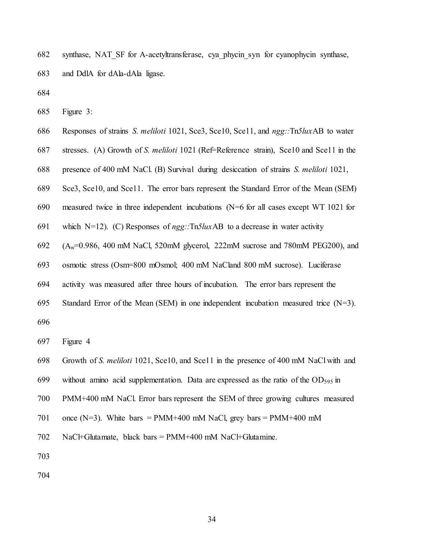682 synthase, NAT\_SF for A-acetyltransferase, cya\_phycin\_syn for cyanophycin synthase, 683 and DdlA for dAla-dAla ligase.

684

685 Figure 3:

- 686 Responses of strains *S. meliloti* 1021, Sce3, Sce10, Sce11, and *ngg::*Tn*5lux*AB to water
- 687 stresses. (A) Growth of *S. meliloti* 1021 (Ref=Reference strain), Sce10 and Sce11 in the
- 688 presence of 400 mM NaCl. (B) Survival during desiccation of strains *S. meliloti* 1021,
- 689 Sce3, Sce10, and Sce11. The error bars represent the Standard Error of the Mean (SEM)
- 690 measured twice in three independent incubations (N=6 for all cases except WT 1021 for
- 691 which N=12). (C) Responses of *ngg::*Tn*5lux*AB to a decrease in water activity
- 692  $(A_w=0.986, 400 \text{ mM NaCl}, 520 \text{ mM glycerol}, 222 \text{ mM sucrose}$  and 780 mM PEG200), and
- 693 osmotic stress (Osm=800 mOsmol; 400 mM NaCland 800 mM sucrose). Luciferase
- 694 activity was measured after three hours of incubation. The error bars represent the
- 695 Standard Error of the Mean (SEM) in one independent incubation measured trice  $(N=3)$ .

696

697 Figure 4

- 698 Growth of *S. meliloti* 1021, Sce10, and Sce11 in the presence of 400 mM NaCl with and
- 699 without amino acid supplementation. Data are expressed as the ratio of the  $OD_{595}$  in
- 700 PMM+400 mM NaCl. Error bars represent the SEM of three growing cultures measured
- 701 once (N=3). White bars = PMM+400 mM NaCl, grey bars = PMM+400 mM
- 702 NaCl+Glutamate, black bars = PMM+400 mM NaCl+Glutamine.
- 703
- 704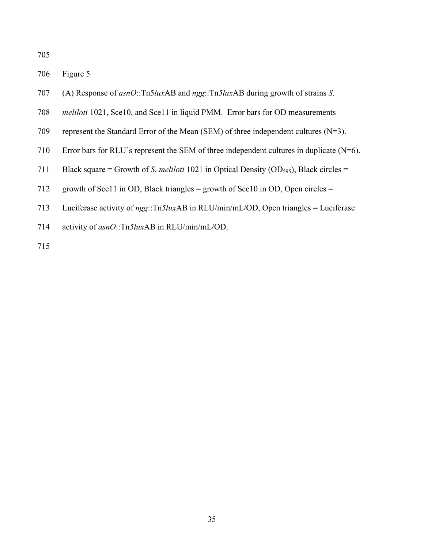706 Figure 5

- 707 (A) Response of *asnO*::Tn5*lux*AB and *ngg*::Tn*5lux*AB during growth of strains *S.*
- 708 *meliloti* 1021, Sce10, and Sce11 in liquid PMM. Error bars for OD measurements
- 709 represent the Standard Error of the Mean (SEM) of three independent cultures (N=3).
- 710 Error bars for RLU's represent the SEM of three independent cultures in duplicate  $(N=6)$ .
- 711 Black square = Growth of *S. meliloti* 1021 in Optical Density (OD<sub>595</sub>), Black circles =
- 712 growth of Sce11 in OD, Black triangles = growth of Sce10 in OD, Open circles =
- 713 Luciferase activity of *ngg*::Tn*5lux*AB in RLU/min/mL/OD, Open triangles = Luciferase
- 714 activity of *asnO*::Tn*5lux*AB in RLU/min/mL/OD.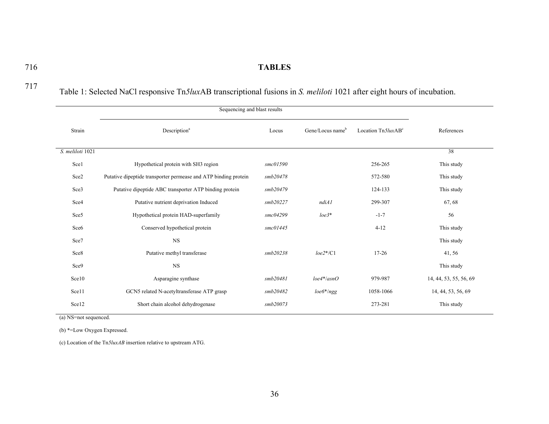### 716 **TABLES**

|--|--|

717 Table 1: Selected NaCl responsive Tn*5lux*AB transcriptional fusions in *S. meliloti* 1021 after eight hours of incubation.

| Strain           | Description <sup>a</sup>                                        | Locus    | Gene/Locus name <sup>b</sup> | Location $Tn5luxABc$ | References             |
|------------------|-----------------------------------------------------------------|----------|------------------------------|----------------------|------------------------|
| S. meliloti 1021 |                                                                 |          |                              |                      | 38                     |
| Sce1             | Hypothetical protein with SH3 region                            | smc01590 |                              | 256-265              | This study             |
| Sce2             | Putative dipeptide transporter permease and ATP binding protein | smb20478 |                              | 572-580              | This study             |
| Sce3             | Putative dipeptide ABC transporter ATP binding protein          | smb20479 |                              | 124-133              | This study             |
| Sce4             | Putative nutrient deprivation Induced                           | smb20227 | ndiAI                        | 299-307              | 67, 68                 |
| Sce <sub>5</sub> | Hypothetical protein HAD-superfamily                            | smc04299 | $loe3*$                      | $-1-7$               | 56                     |
| Sce <sub>6</sub> | Conserved hypothetical protein                                  | smc01445 |                              | $4 - 12$             | This study             |
| Sce7             | <b>NS</b>                                                       |          |                              |                      | This study             |
| Sce8             | Putative methyl transferase                                     | smb20238 | $loe2*/C1$                   | $17 - 26$            | 41, 56                 |
| Sce9             | <b>NS</b>                                                       |          |                              |                      | This study             |
| Sce10            | Asparagine synthase                                             | smb20481 | $loe4*/asnO$                 | 979-987              | 14, 44, 53, 55, 56, 69 |
| Sce11            | GCN5 related N-acetyltransferase ATP grasp                      | smb20482 | $loe6*$ /ngg                 | 1058-1066            | 14, 44, 53, 56, 69     |
| Sce12            | Short chain alcohol dehydrogenase                               | smb20073 |                              | 273-281              | This study             |

(a) NS=not sequenced.

(b) \*=Low Oxygen Expressed.

(c) Location of the Tn*5luxAB* insertion relative to upstream ATG.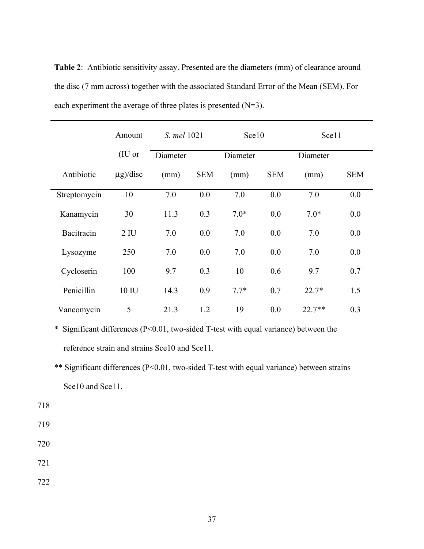**Table 2**: Antibiotic sensitivity assay. Presented are the diameters (mm) of clearance around the disc (7 mm across) together with the associated Standard Error of the Mean (SEM). For each experiment the average of three plates is presented (N=3).

|              | Amount         | S. mel 1021 |            | Sce10    |            | Sce11    |            |
|--------------|----------------|-------------|------------|----------|------------|----------|------------|
|              | (IU or         | Diameter    |            | Diameter |            | Diameter |            |
| Antibiotic   | $g$ /disc      | (mm)        | <b>SEM</b> | (mm)     | <b>SEM</b> | (mm)     | <b>SEM</b> |
| Streptomycin | 10             | 7.0         | 0.0        | 7.0      | 0.0        | 7.0      | 0.0        |
| Kanamycin    | 30             | 11.3        | 0.3        | $7.0*$   | 0.0        | $7.0*$   | 0.0        |
| Bacitracin   | 2 <sub>1</sub> | 7.0         | 0.0        | 7.0      | 0.0        | 7.0      | 0.0        |
| Lysozyme     | 250            | 7.0         | 0.0        | 7.0      | 0.0        | 7.0      | 0.0        |
| Cycloserin   | 100            | 9.7         | 0.3        | 10       | 0.6        | 9.7      | 0.7        |
| Penicillin   | 10 IU          | 14.3        | 0.9        | $7.7*$   | 0.7        | $22.7*$  | 1.5        |
| Vancomycin   | 5              | 21.3        | 1.2        | 19       | 0.0        | $22.7**$ | 0.3        |

\* Significant differences (P<0.01, two-sided T-test with equal variance) between the reference strain and strains Sce10 and Sce11.

\*\* Significant differences (P<0.01, two-sided T-test with equal variance) between strains Sce10 and Sce11.

718

- 719
- 720

721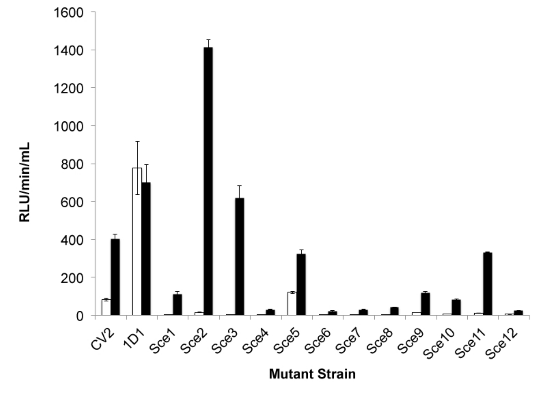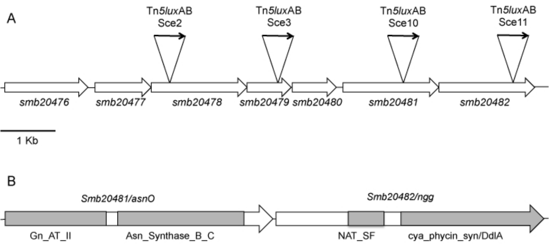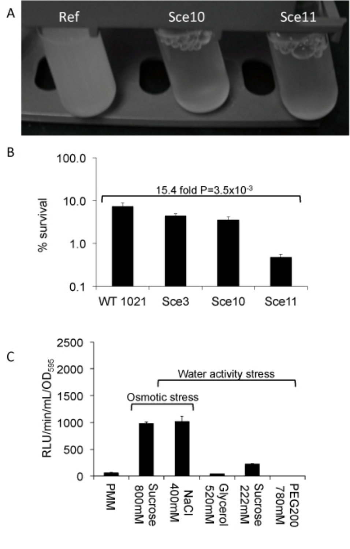

B

100.0

15.4 fold P=3.5x10-3  $10.0$ % survival  $1.0$  $0.1$ WT 1021 Sce3 Sce10 Sce11

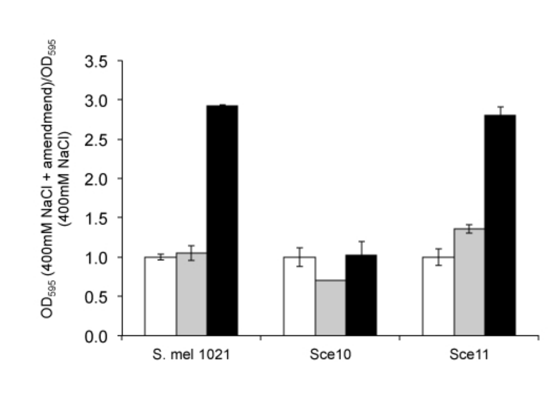